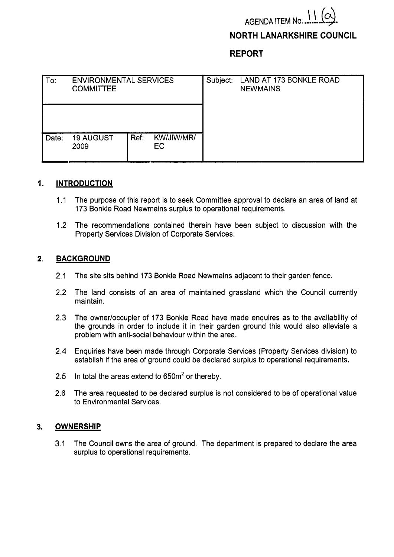# AGENDA ITEM No. 11

## **NORTH LANARKSHIRE COUNCIL**

**REPORT** 

| To:   | <b>ENVIRONMENTAL SERVICES</b><br><b>COMMITTEE</b> |      |                   | Subject: | LAND AT 173 BONKLE ROAD<br><b>NEWMAINS</b> |
|-------|---------------------------------------------------|------|-------------------|----------|--------------------------------------------|
|       |                                                   |      |                   |          |                                            |
| Date: | <b>19 AUGUST</b><br>2009                          | Ref: | KW/JIW/MR/<br>EC. |          |                                            |

#### **1. INTRODUCTION**

- 1.1 The purpose of this report is to seek Committee approval to declare an area of land at 173 Bonkle Road Newmains surplus to operational requirements.
- 1.2 The recommendations contained therein have been subject to discussion with the Property Services Division of Corporate Services.

#### **2. BACKGROUND**

- 2.1 The site sits behind 173 Bonkle Road Newmains adjacent to their garden fence.
- 2.2 The land consists of an area of maintained grassland which the Council currently maintain.
- 2.3 The owner/occupier of 173 Bonkle Road have made enquires as to the availability of the grounds in order to include it in their garden ground this would also alleviate a problem with anti-social behaviour within the area.
- 2.4 Enquiries have been made through Corporate Services (Property Services division) to establish if the area of ground could be declared surplus to operational requirements.
- 2.5 In total the areas extend to  $650m^2$  or thereby.
- 2.6 The area requested to be declared surplus is not considered to be of operational value to Environmental Services.

#### **3. OWNERSHIP**

3.1 The Council owns the area of ground. The department is prepared to declare the area surplus to operational requirements.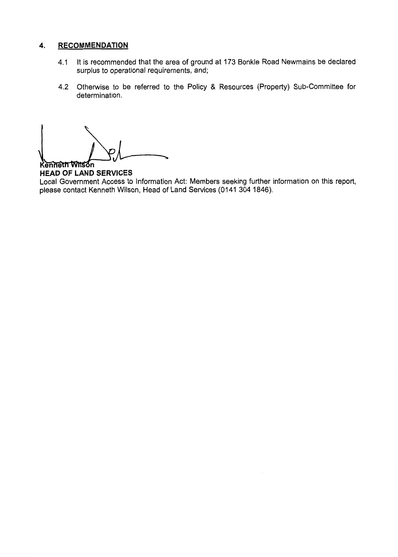### **4. RECOMMENDATION**

- 4.1 It is recommended that the area of ground at 173 Bonkle Road Newmains be declared surplus to operational requirements, and;
- 4.2 Otherwise to be referred to the Policy & Resources (Property) Sub-Committee for determination.

Kenneth Wilson **HEAD OF LAND SERVICES**  Local Government Access to Information Act: Members seeking further information on this report, please contact Kenneth Wilson, Head of Land Services (0141 304 1846).